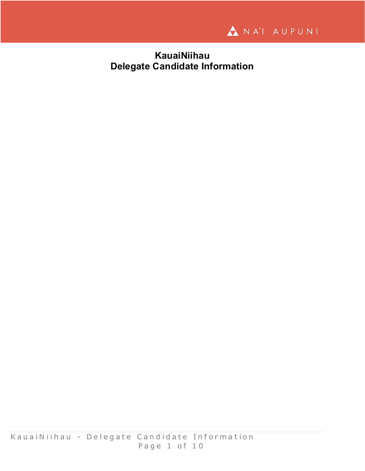

# **KauaiNiihau Delegate Candidate Information**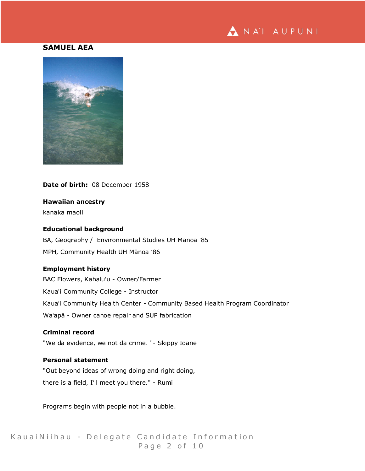

# **SAMUEL AEA**



# **Date of birth:** 08 December 1958

# **Hawaiian ancestry**

kanaka maoli

# **Educational background**

BA, Geography / Environmental Studies UH Mānoa ʻ85 MPH, Community Health UH Mānoa ʻ86

# **Employment history**

BAC Flowers, Kahaluʻu - Owner/Farmer Kaua'i Community College - Instructor Kauaʻi Community Health Center - Community Based Health Program Coordinator Waʻapā - Owner canoe repair and SUP fabrication

# **Criminal record**

"We da evidence, we not da crime. "- Skippy Ioane

# **Personal statement**

"Out beyond ideas of wrong doing and right doing, there is a field, Iʻll meet you there." - Rumi

Programs begin with people not in a bubble.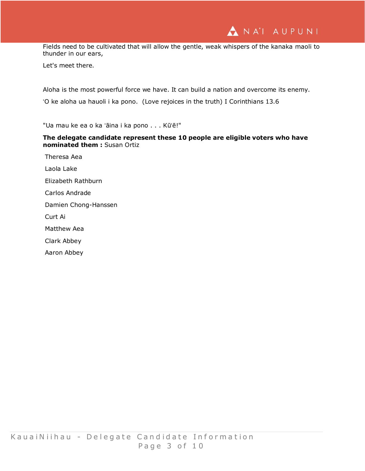NA'I AUPUNI

Fields need to be cultivated that will allow the gentle, weak whispers of the kanaka maoli to thunder in our ears,

Let's meet there.

Aloha is the most powerful force we have. It can build a nation and overcome its enemy. ʻO ke aloha ua hauoli i ka pono. (Love rejoices in the truth) I Corinthians 13.6

"Ua mau ke ea o ka ʻāina i ka pono . . . Kūʻē!"

# **The delegate candidate represent these 10 people are eligible voters who have nominated them :** Susan Ortiz

Theresa Aea Laola Lake Elizabeth Rathburn Carlos Andrade Damien Chong-Hanssen Curt Ai Matthew Aea Clark Abbey

Aaron Abbey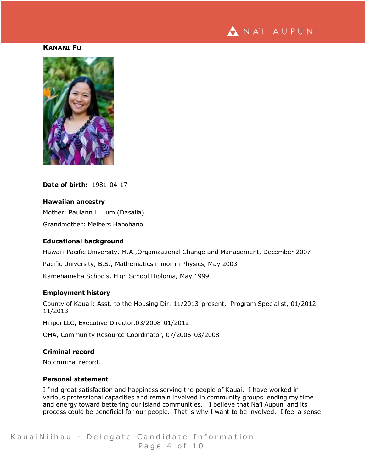

## **KANANI FU**



**Date of birth:** 1981-04-17

### **Hawaiian ancestry**

Mother: Paulann L. Lum (Dasalia) Grandmother: Meibers Hanohano

#### **Educational background**

Hawai'i Pacific University, M.A.,Organizational Change and Management, December 2007

Pacific University, B.S., Mathematics minor in Physics, May 2003

Kamehameha Schools, High School Diploma, May 1999

### **Employment history**

County of Kaua'i: Asst. to the Housing Dir. 11/2013-present, Program Specialist, 01/2012- 11/2013

Hi'ipoi LLC, Executive Director,03/2008-01/2012

OHA, Community Resource Coordinator, 07/2006-03/2008

# **Criminal record**

No criminal record.

# **Personal statement**

I find great satisfaction and happiness serving the people of Kauai. I have worked in various professional capacities and remain involved in community groups lending my time and energy toward bettering our island communities. I believe that Na'i Aupuni and its process could be beneficial for our people. That is why I want to be involved. I feel a sense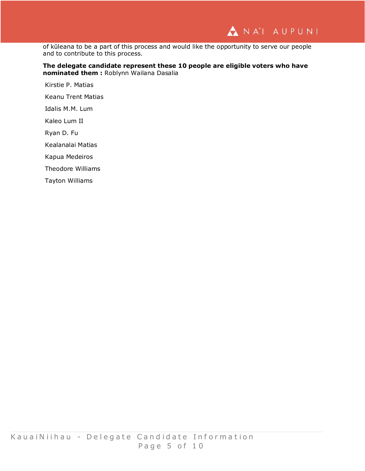of kūleana to be a part of this process and would like the opportunity to serve our people and to contribute to this process.

### **The delegate candidate represent these 10 people are eligible voters who have nominated them :** Roblynn Wailana Dasalia

Kirstie P. Matias

Keanu Trent Matias

Idalis M.M. Lum

Kaleo Lum II

Ryan D. Fu

Kealanalai Matias

Kapua Medeiros

Theodore Williams

Tayton Williams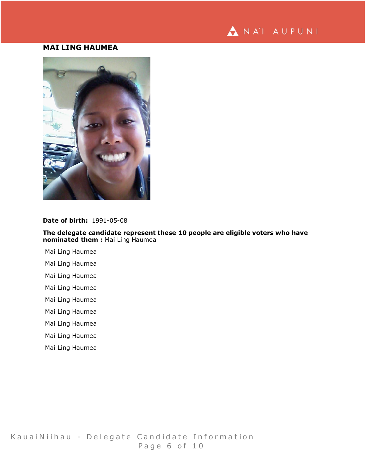

# **MAI LING HAUMEA**



# **Date of birth:** 1991-05-08

**The delegate candidate represent these 10 people are eligible voters who have nominated them :** Mai Ling Haumea

- Mai Ling Haumea
- Mai Ling Haumea
- Mai Ling Haumea
- Mai Ling Haumea
- Mai Ling Haumea
- Mai Ling Haumea
- Mai Ling Haumea
- Mai Ling Haumea
- Mai Ling Haumea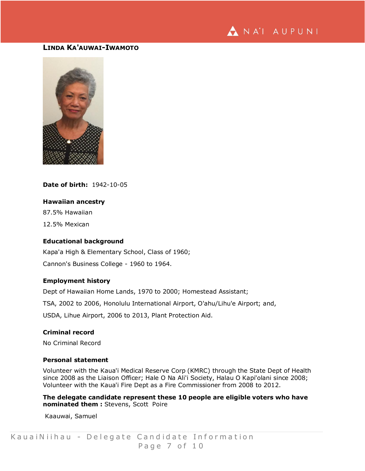

# **LINDA KA'AUWAI-IWAMOTO**



# **Date of birth:** 1942-10-05

### **Hawaiian ancestry**

87.5% Hawaiian

12.5% Mexican

### **Educational background**

Kapa'a High & Elementary School, Class of 1960; Cannon's Business College - 1960 to 1964.

### **Employment history**

Dept of Hawaiian Home Lands, 1970 to 2000; Homestead Assistant; TSA, 2002 to 2006, Honolulu International Airport, O'ahu/Lihu'e Airport; and,

USDA, Lihue Airport, 2006 to 2013, Plant Protection Aid.

### **Criminal record**

No Criminal Record

### **Personal statement**

Volunteer with the Kaua'i Medical Reserve Corp (KMRC) through the State Dept of Health since 2008 as the Liaison Officer; Hale O Na Ali'i Society, Halau O Kapi'olani since 2008; Volunteer with the Kaua'i Fire Dept as a Fire Commissioner from 2008 to 2012.

**The delegate candidate represent these 10 people are eligible voters who have nominated them :** Stevens, Scott Poire

Kaauwai, Samuel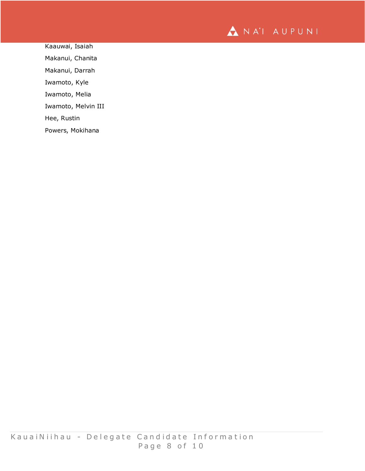

Kaauwai, Isaiah Makanui, Chanita Makanui, Darrah Iwamoto, Kyle Iwamoto, Melia Iwamoto, Melvin III Hee, Rustin Powers, Mokihana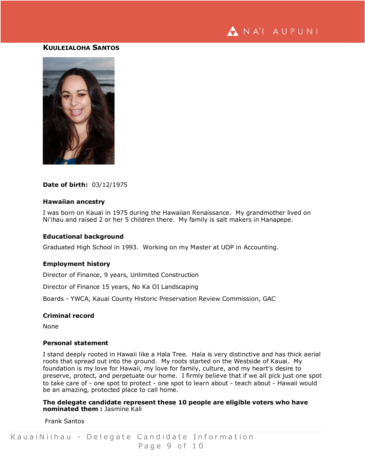

### **KUULEIALOHA SANTOS**



#### **Date of birth:** 03/12/1975

#### **Hawaiian ancestry**

I was born on Kauai in 1975 during the Hawaiian Renaissance. My grandmother lived on Ni'ihau and raised 2 or her 5 children there. My family is salt makers in Hanapepe.

### **Educational background**

Graduated High School in 1993. Working on my Master at UOP in Accounting.

#### **Employment history**

Director of Finance, 9 years, Unlimited Construction

Director of Finance 15 years, No Ka OI Landscaping

Boards - YWCA, Kauai County Historic Preservation Review Commission, GAC

#### **Criminal record**

None

### **Personal statement**

I stand deeply rooted in Hawaii like a Hala Tree. Hala is very distinctive and has thick aerial roots that spread out into the ground. My roots started on the Westside of Kauai. My foundation is my love for Hawaii, my love for family, culture, and my heart's desire to preserve, protect, and perpetuate our home. I firmly believe that if we all pick just one spot to take care of - one spot to protect - one spot to learn about - teach about - Hawaii would be an amazing, protected place to call home.

**The delegate candidate represent these 10 people are eligible voters who have nominated them :** Jasmine Kali

Frank Santos